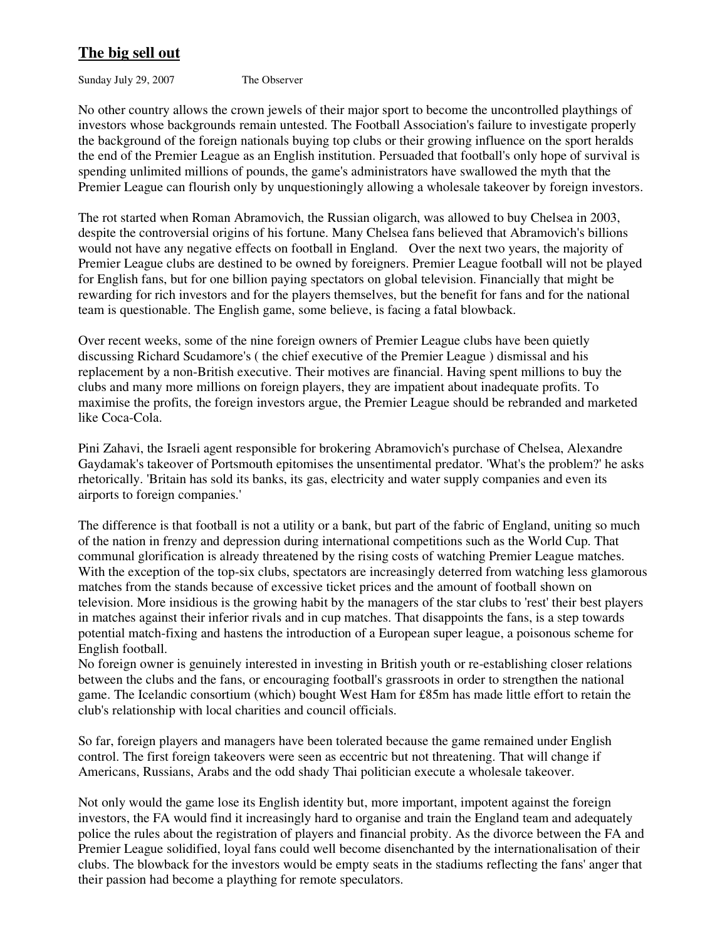## **The big sell out**

Sunday July 29, 2007 The Observer

No other country allows the crown jewels of their major sport to become the uncontrolled playthings of investors whose backgrounds remain untested. The Football Association's failure to investigate properly the background of the foreign nationals buying top clubs or their growing influence on the sport heralds the end of the Premier League as an English institution. Persuaded that football's only hope of survival is spending unlimited millions of pounds, the game's administrators have swallowed the myth that the Premier League can flourish only by unquestioningly allowing a wholesale takeover by foreign investors.

The rot started when Roman Abramovich, the Russian oligarch, was allowed to buy Chelsea in 2003, despite the controversial origins of his fortune. Many Chelsea fans believed that Abramovich's billions would not have any negative effects on football in England. Over the next two years, the majority of Premier League clubs are destined to be owned by foreigners. Premier League football will not be played for English fans, but for one billion paying spectators on global television. Financially that might be rewarding for rich investors and for the players themselves, but the benefit for fans and for the national team is questionable. The English game, some believe, is facing a fatal blowback.

Over recent weeks, some of the nine foreign owners of Premier League clubs have been quietly discussing Richard Scudamore's ( the chief executive of the Premier League ) dismissal and his replacement by a non-British executive. Their motives are financial. Having spent millions to buy the clubs and many more millions on foreign players, they are impatient about inadequate profits. To maximise the profits, the foreign investors argue, the Premier League should be rebranded and marketed like Coca-Cola.

Pini Zahavi, the Israeli agent responsible for brokering Abramovich's purchase of Chelsea, Alexandre Gaydamak's takeover of Portsmouth epitomises the unsentimental predator. 'What's the problem?' he asks rhetorically. 'Britain has sold its banks, its gas, electricity and water supply companies and even its airports to foreign companies.'

The difference is that football is not a utility or a bank, but part of the fabric of England, uniting so much of the nation in frenzy and depression during international competitions such as the World Cup. That communal glorification is already threatened by the rising costs of watching Premier League matches. With the exception of the top-six clubs, spectators are increasingly deterred from watching less glamorous matches from the stands because of excessive ticket prices and the amount of football shown on television. More insidious is the growing habit by the managers of the star clubs to 'rest' their best players in matches against their inferior rivals and in cup matches. That disappoints the fans, is a step towards potential match-fixing and hastens the introduction of a European super league, a poisonous scheme for English football.

No foreign owner is genuinely interested in investing in British youth or re-establishing closer relations between the clubs and the fans, or encouraging football's grassroots in order to strengthen the national game. The Icelandic consortium (which) bought West Ham for £85m has made little effort to retain the club's relationship with local charities and council officials.

So far, foreign players and managers have been tolerated because the game remained under English control. The first foreign takeovers were seen as eccentric but not threatening. That will change if Americans, Russians, Arabs and the odd shady Thai politician execute a wholesale takeover.

Not only would the game lose its English identity but, more important, impotent against the foreign investors, the FA would find it increasingly hard to organise and train the England team and adequately police the rules about the registration of players and financial probity. As the divorce between the FA and Premier League solidified, loyal fans could well become disenchanted by the internationalisation of their clubs. The blowback for the investors would be empty seats in the stadiums reflecting the fans' anger that their passion had become a plaything for remote speculators.